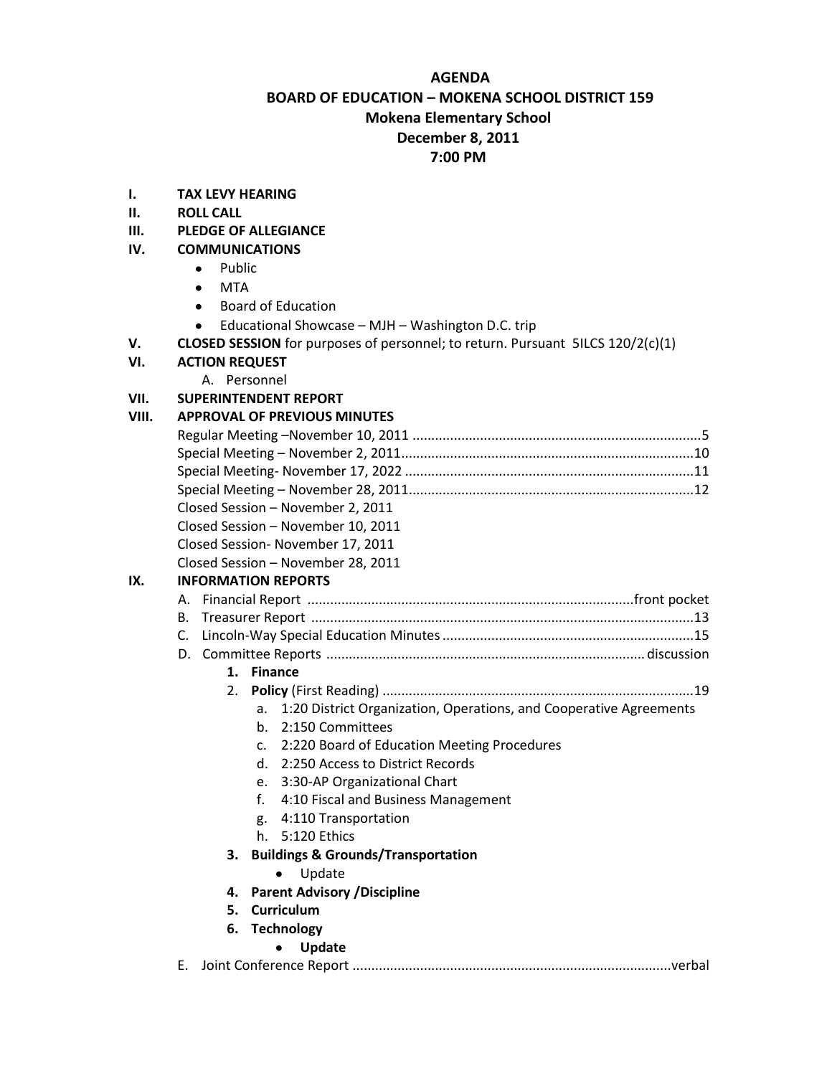#### **AGENDA**

# **BOARD OF EDUCATION – MOKENA SCHOOL DISTRICT 159 Mokena Elementary School December 8, 2011**

## **7:00 PM**

- **I. TAX LEVY HEARING**
- **II. ROLL CALL**
- **III. PLEDGE OF ALLEGIANCE**

### **IV. COMMUNICATIONS**

- Public  $\bullet$
- MTA
- Board of Education
- Educational Showcase MJH Washington D.C. trip
- **V. CLOSED SESSION** for purposes of personnel; to return. Pursuant 5ILCS 120/2(c)(1)
- **VI. ACTION REQUEST**
	- A. Personnel

#### **VII. SUPERINTENDENT REPORT**

#### **VIII. APPROVAL OF PREVIOUS MINUTES**

|                                   |                                                                          |  |  |  |  | Closed Session - November 2, 2011<br>Closed Session - November 10, 2011 |
|-----------------------------------|--------------------------------------------------------------------------|--|--|--|--|-------------------------------------------------------------------------|
|                                   |                                                                          |  |  |  |  |                                                                         |
| Closed Session- November 17, 2011 |                                                                          |  |  |  |  |                                                                         |
|                                   | Closed Session - November 28, 2011                                       |  |  |  |  |                                                                         |
| IX.                               | <b>INFORMATION REPORTS</b>                                               |  |  |  |  |                                                                         |
|                                   |                                                                          |  |  |  |  |                                                                         |
| В.                                |                                                                          |  |  |  |  |                                                                         |
|                                   | $\mathsf{C}$ .                                                           |  |  |  |  |                                                                         |
|                                   |                                                                          |  |  |  |  |                                                                         |
|                                   | 1. Finance                                                               |  |  |  |  |                                                                         |
|                                   | 2.                                                                       |  |  |  |  |                                                                         |
|                                   | 1:20 District Organization, Operations, and Cooperative Agreements<br>a. |  |  |  |  |                                                                         |
|                                   | b. 2:150 Committees                                                      |  |  |  |  |                                                                         |
|                                   | c. 2:220 Board of Education Meeting Procedures                           |  |  |  |  |                                                                         |
|                                   | d. 2:250 Access to District Records                                      |  |  |  |  |                                                                         |
|                                   | e. 3:30-AP Organizational Chart                                          |  |  |  |  |                                                                         |
|                                   | f.<br>4:10 Fiscal and Business Management                                |  |  |  |  |                                                                         |
|                                   | g. 4:110 Transportation                                                  |  |  |  |  |                                                                         |
|                                   | h. 5:120 Ethics                                                          |  |  |  |  |                                                                         |
|                                   | <b>Buildings &amp; Grounds/Transportation</b><br>3.                      |  |  |  |  |                                                                         |
|                                   | Update                                                                   |  |  |  |  |                                                                         |
|                                   | <b>Parent Advisory / Discipline</b><br>4.                                |  |  |  |  |                                                                         |
|                                   | <b>Curriculum</b><br>5.                                                  |  |  |  |  |                                                                         |
|                                   | 6. Technology                                                            |  |  |  |  |                                                                         |
|                                   | Update                                                                   |  |  |  |  |                                                                         |
|                                   | Ε.                                                                       |  |  |  |  |                                                                         |